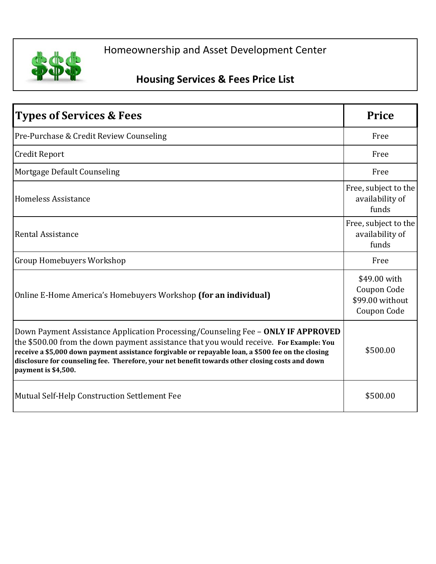

## Homeownership and Asset Development Center

## **Housing Services & Fees Price List**

| <b>Types of Services &amp; Fees</b>                                                                                                                                                                                                                                                                                                                                                                        | <b>Price</b>                                                  |
|------------------------------------------------------------------------------------------------------------------------------------------------------------------------------------------------------------------------------------------------------------------------------------------------------------------------------------------------------------------------------------------------------------|---------------------------------------------------------------|
| Pre-Purchase & Credit Review Counseling                                                                                                                                                                                                                                                                                                                                                                    | Free                                                          |
| <b>Credit Report</b>                                                                                                                                                                                                                                                                                                                                                                                       | Free                                                          |
| Mortgage Default Counseling                                                                                                                                                                                                                                                                                                                                                                                | Free                                                          |
| Homeless Assistance                                                                                                                                                                                                                                                                                                                                                                                        | Free, subject to the<br>availability of<br>funds              |
| Rental Assistance                                                                                                                                                                                                                                                                                                                                                                                          | Free, subject to the<br>availability of<br>funds              |
| <b>Group Homebuyers Workshop</b>                                                                                                                                                                                                                                                                                                                                                                           | Free                                                          |
| Online E-Home America's Homebuyers Workshop (for an individual)                                                                                                                                                                                                                                                                                                                                            | \$49.00 with<br>Coupon Code<br>\$99.00 without<br>Coupon Code |
| Down Payment Assistance Application Processing/Counseling Fee - ONLY IF APPROVED<br>the \$500.00 from the down payment assistance that you would receive. For Example: You<br>receive a \$5,000 down payment assistance forgivable or repayable loan, a \$500 fee on the closing<br>disclosure for counseling fee. Therefore, your net benefit towards other closing costs and down<br>payment is \$4,500. | \$500.00                                                      |
| Mutual Self-Help Construction Settlement Fee                                                                                                                                                                                                                                                                                                                                                               | \$500.00                                                      |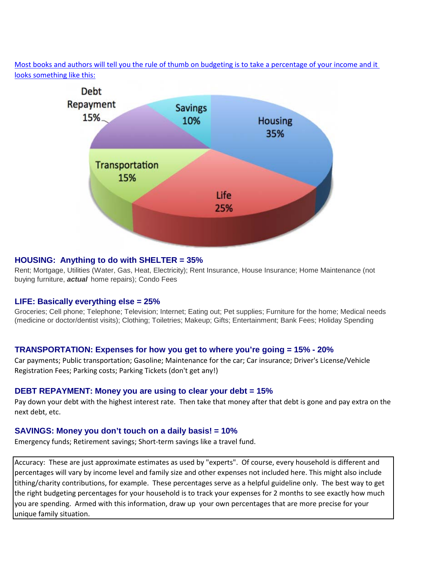[Most books and authors will tell you the rule of thumb on budgeting is to take a percentage of your income and it](http://www.thebudgetingtool.com/why-buy/)  [looks some](http://www.thebudgetingtool.com/why-buy/)thing like this:



### **HOUSING: Anything to do with SHELTER = 35%**

Rent; Mortgage, Utilities (Water, Gas, Heat, Electricity); Rent Insurance, House Insurance; Home Maintenance (not buying furniture, *actual* home repairs); Condo Fees

### **LIFE: Basically everything else = 25%**

Groceries; Cell phone; Telephone; Television; Internet; Eating out; Pet supplies; Furniture for the home; Medical needs (medicine or doctor/dentist visits); Clothing; Toiletries; Makeup; Gifts; Entertainment; Bank Fees; Holiday Spending

### **TRANSPORTATION: Expenses for how you get to where you're going = 15% - 20%**

Car payments; Public transportation; Gasoline; Maintenance for the car; Car insurance; Driver's License/Vehicle Registration Fees; Parking costs; Parking Tickets (don't get any!)

### **DEBT REPAYMENT: Money you are using to clear your debt = 15%**

Pay down your debt with the highest interest rate. Then take that money after that debt is gone and pay extra on the next debt, etc.

### **SAVINGS: Money you don't touch on a daily basis! = 10%**

Emergency funds; Retirement savings; Short-term savings like a travel fund.

Accuracy: These are just approximate estimates as used by "experts". Of course, every household is different and percentages will vary by income level and family size and other expenses not included here. This might also include tithing/charity contributions, for example. These percentages serve as a helpful guideline only. The best way to get the right budgeting percentages for your household is to track your expenses for 2 months to see exactly how much you are spending. Armed with this information, draw up your own percentages that are more precise for your unique family situation.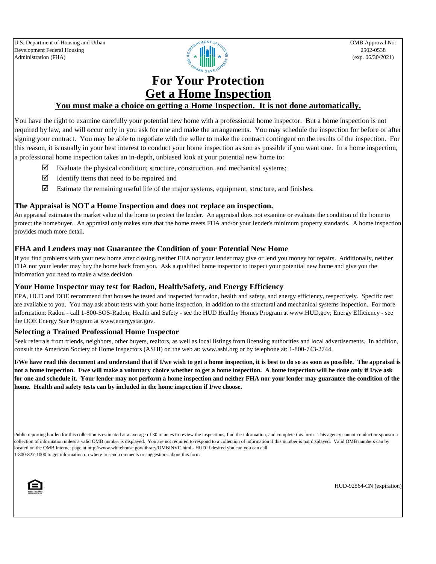

### **For Your Protection Get a Home Inspection**

### **You must make a choice on getting a Home Inspection. It is not done automatically.**

You have the right to examine carefully your potential new home with a professional home inspector. But a home inspection is not required by law, and will occur only in you ask for one and make the arrangements. You may schedule the inspection for before or after signing your contract. You may be able to negotiate with the seller to make the contract contingent on the results of the inspection. For this reason, it is usually in your best interest to conduct your home inspection as son as possible if you want one. In a home inspection, a professional home inspection takes an in-depth, unbiased look at your potential new home to:

- Evaluate the physical condition; structure, construction, and mechanical systems;
- $\boxtimes$  Identify items that need to be repaired and
- $\boxtimes$  Estimate the remaining useful life of the major systems, equipment, structure, and finishes.

### **The Appraisal is NOT a Home Inspection and does not replace an inspection.**

An appraisal estimates the market value of the home to protect the lender. An appraisal does not examine or evaluate the condition of the home to protect the homebuyer. An appraisal only makes sure that the home meets FHA and/or your lender's minimum property standards. A home inspection provides much more detail.

#### **FHA and Lenders may not Guarantee the Condition of your Potential New Home**

If you find problems with your new home after closing, neither FHA nor your lender may give or lend you money for repairs. Additionally, neither FHA nor your lender may buy the home back from you. Ask a qualified home inspector to inspect your potential new home and give you the information you need to make a wise decision.

### **Your Home Inspector may test for Radon, Health/Safety, and Energy Efficiency**

EPA, HUD and DOE recommend that houses be tested and inspected for radon, health and safety, and energy efficiency, respectively. Specific test are available to you. You may ask about tests with your home inspection, in addition to the structural and mechanical systems inspection. For more information: Radon - call 1-800-SOS-Radon; Health and Safety - see the HUD Healthy Homes Program at www.HUD.gov; Energy Efficiency - see the DOE Energy Star Program at www.energystar.gov.

### **Selecting a Trained Professional Home Inspector**

Seek referrals from friends, neighbors, other buyers, realtors, as well as local listings from licensing authorities and local advertisements. In addition, consult the American Society of Home Inspectors (ASHI) on the web at: www.ashi.org or by telephone at: 1-800-743-2744.

**I/We have read this document and understand that if I/we wish to get a home inspection, it is best to do so as soon as possible. The appraisal is not a home inspection. I/we will make a voluntary choice whether to get a home inspection. A home inspection will be done only if I/we ask for one and schedule it. Your lender may not perform a home inspection and neither FHA nor your lender may guarantee the condition of the home. Health and safety tests can by included in the home inspection if I/we choose.** 

Public reporting burden for this collection is estimated at a average of 30 minutes to review the inspections, find the information, and complete this form. This agency cannot conduct or sponsor a collection of information unless a valid OMB number is displayed. You are not required to respond to a collection of information if this number is not displayed. Valid OMB numbers can by located on the OMB Internet page at http://www.whitehouse.gov/library/OMBINVC.html - HUD if desired you can you can call 1-800-827-1000 to get information on where to send comments or suggestions about this form.



HUD-92564-CN (expiration)